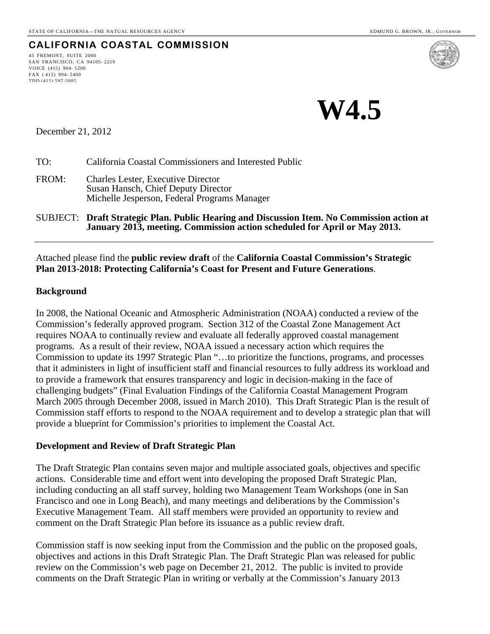**CALIFORNIA COASTAL COMMISSION**

45 FREMONT, SUITE 2000 SAN FRANCISCO, CA 94105- 2219 VOICE (415) 904- 5200 FAX ( 415) 904- 5400 TDD (415) 597-5885



December 21, 2012

TO: California Coastal Commissioners and Interested Public

- FROM: Charles Lester, Executive Director Susan Hansch, Chief Deputy Director Michelle Jesperson, Federal Programs Manager
- SUBJECT: **Draft Strategic Plan. Public Hearing and Discussion Item. No Commission action at January 2013, meeting. Commission action scheduled for April or May 2013.**

#### Attached please find the **public review draft** of the **California Coastal Commission's Strategic Plan 2013-2018: Protecting California's Coast for Present and Future Generations**.

#### **Background**

In 2008, the National Oceanic and Atmospheric Administration (NOAA) conducted a review of the Commission's federally approved program. Section 312 of the Coastal Zone Management Act requires NOAA to continually review and evaluate all federally approved coastal management programs. As a result of their review, NOAA issued a necessary action which requires the Commission to update its 1997 Strategic Plan "…to prioritize the functions, programs, and processes that it administers in light of insufficient staff and financial resources to fully address its workload and to provide a framework that ensures transparency and logic in decision-making in the face of challenging budgets" (Final Evaluation Findings of the California Coastal Management Program March 2005 through December 2008, issued in March 2010). This Draft Strategic Plan is the result of Commission staff efforts to respond to the NOAA requirement and to develop a strategic plan that will provide a blueprint for Commission's priorities to implement the Coastal Act.

#### **Development and Review of Draft Strategic Plan**

The Draft Strategic Plan contains seven major and multiple associated goals, objectives and specific actions. Considerable time and effort went into developing the proposed Draft Strategic Plan, including conducting an all staff survey, holding two Management Team Workshops (one in San Francisco and one in Long Beach), and many meetings and deliberations by the Commission's Executive Management Team. All staff members were provided an opportunity to review and comment on the Draft Strategic Plan before its issuance as a public review draft.

Commission staff is now seeking input from the Commission and the public on the proposed goals, objectives and actions in this Draft Strategic Plan. The Draft Strategic Plan was released for public review on the Commission's web page on December 21, 2012. The public is invited to provide comments on the Draft Strategic Plan in writing or verbally at the Commission's January 2013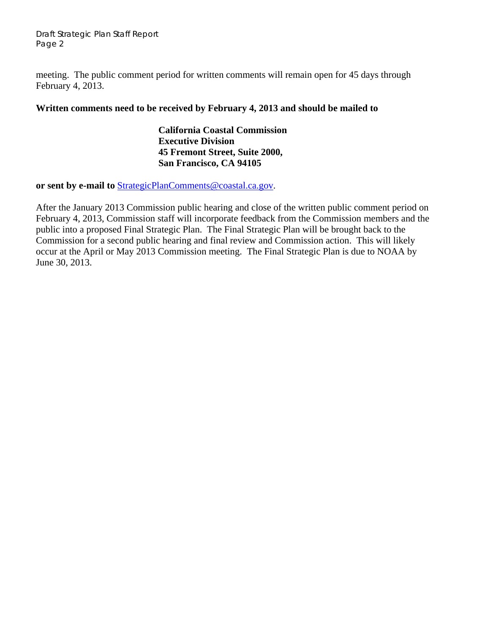Draft Strategic Plan Staff Report Page 2

meeting. The public comment period for written comments will remain open for 45 days through February 4, 2013.

#### **Written comments need to be received by February 4, 2013 and should be mailed to**

**California Coastal Commission Executive Division 45 Fremont Street, Suite 2000, San Francisco, CA 94105** 

**or sent by e-mail to** [StrategicPlanComments@coastal.ca.gov.](mailto:StrategicPlanComments@coastal.ca.gov)

After the January 2013 Commission public hearing and close of the written public comment period on February 4, 2013, Commission staff will incorporate feedback from the Commission members and the public into a proposed Final Strategic Plan. The Final Strategic Plan will be brought back to the Commission for a second public hearing and final review and Commission action. This will likely occur at the April or May 2013 Commission meeting. The Final Strategic Plan is due to NOAA by June 30, 2013.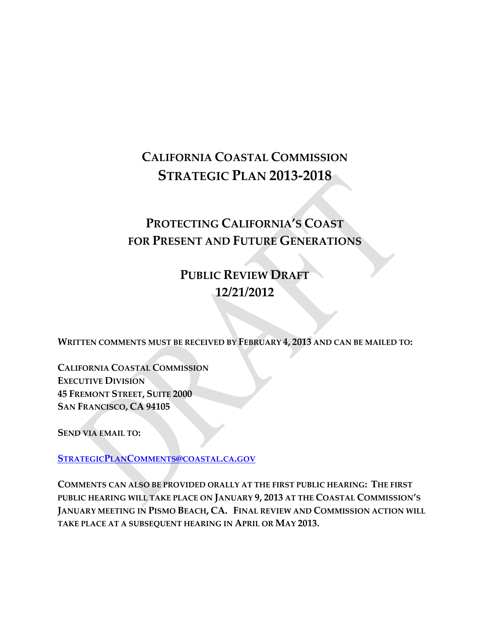# **CALIFORNIA COASTAL COMMISSION STRATEGIC PLAN 2013‐2018**

# **PROTECTING CALIFORNIA'S COAST FOR PRESENT AND FUTURE GENERATIONS**

**PUBLIC REVIEW DRAFT 12/21/2012**

**WRITTEN COMMENTS MUST BE RECEIVED BY FEBRUARY 4, 2013 AND CAN BE MAILED TO:**

**CALIFORNIA COASTAL COMMISSION EXECUTIVE DIVISION 45 FREMONT STREET, SUITE 2000 SAN FRANCISCO, CA 94105**

**SEND VIA EMAIL TO:**

**[STRATEGICPLANCOMMENTS@COASTAL.CA.GOV](mailto:StrategicPlanComments@coastal.ca.gov)**

**COMMENTS CAN ALSO BE PROVIDED ORALLY AT THE FIRST PUBLIC HEARING: THE FIRST PUBLIC HEARING WILL TAKE PLACE ON JANUARY 9, 2013 AT THE COASTAL COMMISSION'S JANUARY MEETING IN PISMO BEACH, CA. FINAL REVIEW AND COMMISSION ACTION WILL TAKE PLACE AT A SUBSEQUENT HEARING IN APRIL OR MAY 2013.**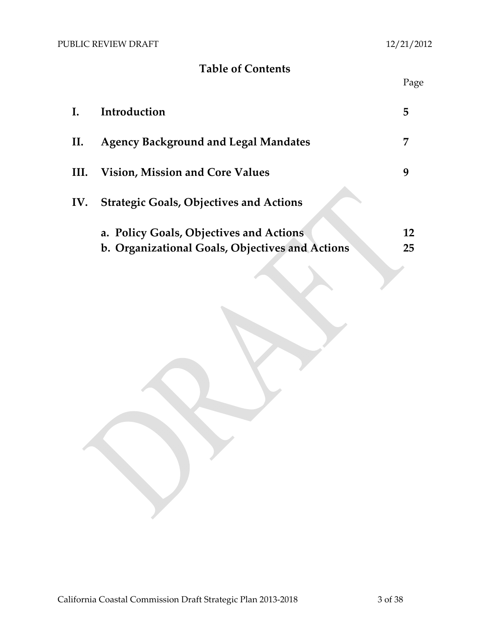## **Table of Contents**

|  |  | Page |
|--|--|------|
|  |  |      |

| I.   | Introduction                                                                               | 5        |
|------|--------------------------------------------------------------------------------------------|----------|
| П.   | <b>Agency Background and Legal Mandates</b>                                                | 7        |
| III. | <b>Vision, Mission and Core Values</b>                                                     | 9        |
| IV.  | <b>Strategic Goals, Objectives and Actions</b>                                             |          |
|      | a. Policy Goals, Objectives and Actions<br>b. Organizational Goals, Objectives and Actions | 12<br>25 |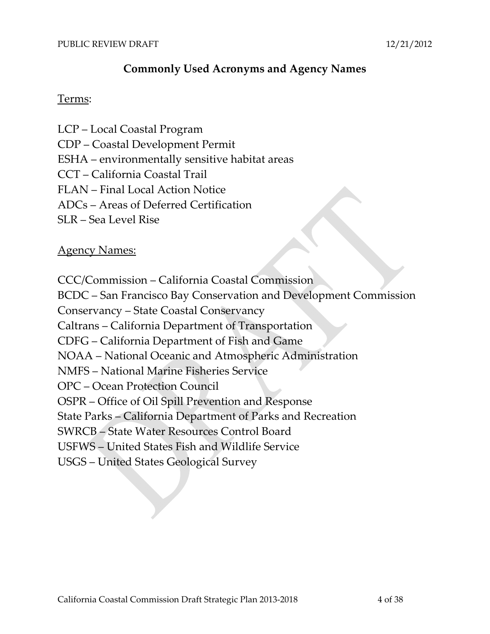### **Commonly Used Acronyms and Agency Names**

### Terms:

LCP – Local Coastal Program CDP – Coastal Development Permit ESHA – environmentally sensitive habitat areas CCT – California Coastal Trail FLAN – Final Local Action Notice ADCs – Areas of Deferred Certification SLR – Sea Level Rise

### Agency Names:

CCC/Commission – California Coastal Commission

BCDC – San Francisco Bay Conservation and Development Commission

Conservancy – State Coastal Conservancy

Caltrans – California Department of Transportation

CDFG – California Department of Fish and Game

NOAA – National Oceanic and Atmospheric Administration

NMFS – National Marine Fisheries Service

OPC – Ocean Protection Council

OSPR – Office of Oil Spill Prevention and Response

State Parks – California Department of Parks and Recreation

SWRCB – State Water Resources Control Board

USFWS – United States Fish and Wildlife Service

USGS – United States Geological Survey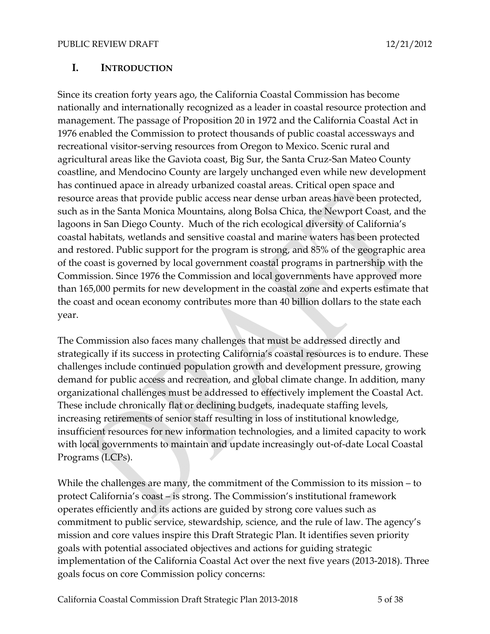#### **I. INTRODUCTION**

Since its creation forty years ago, the California Coastal Commission has become nationally and internationally recognized as a leader in coastal resource protection and management. The passage of Proposition 20 in 1972 and the California Coastal Act in 1976 enabled the Commission to protect thousands of public coastal accessways and recreational visitor‐serving resources from Oregon to Mexico. Scenic rural and agricultural areas like the Gaviota coast, Big Sur, the Santa Cruz‐San Mateo County coastline, and Mendocino County are largely unchanged even while new development has continued apace in already urbanized coastal areas. Critical open space and resource areas that provide public access near dense urban areas have been protected, such as in the Santa Monica Mountains, along Bolsa Chica, the Newport Coast, and the lagoons in San Diego County. Much of the rich ecological diversity of California's coastal habitats, wetlands and sensitive coastal and marine waters has been protected and restored. Public support for the program is strong, and 85% of the geographic area of the coast is governed by local government coastal programs in partnership with the Commission. Since 1976 the Commission and local governments have approved more than 165,000 permits for new development in the coastal zone and experts estimate that the coast and ocean economy contributes more than 40 billion dollars to the state each year.

The Commission also faces many challenges that must be addressed directly and strategically if its success in protecting California's coastal resources is to endure. These challenges include continued population growth and development pressure, growing demand for public access and recreation, and global climate change. In addition, many organizational challenges must be addressed to effectively implement the Coastal Act. These include chronically flat or declining budgets, inadequate staffing levels, increasing retirements of senior staff resulting in loss of institutional knowledge, insufficient resources for new information technologies, and a limited capacity to work with local governments to maintain and update increasingly out‐of‐date Local Coastal Programs (LCPs).

While the challenges are many, the commitment of the Commission to its mission – to protect California's coast – is strong. The Commission's institutional framework operates efficiently and its actions are guided by strong core values such as commitment to public service, stewardship, science, and the rule of law. The agency's mission and core values inspire this Draft Strategic Plan. It identifies seven priority goals with potential associated objectives and actions for guiding strategic implementation of the California Coastal Act over the next five years (2013-2018). Three goals focus on core Commission policy concerns: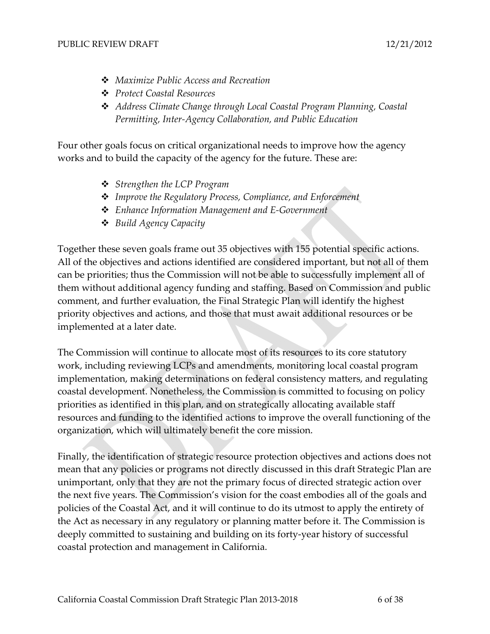- *Maximize Public Access and Recreation*
- *Protect Coastal Resources*
- *Address Climate Change through Local Coastal Program Planning, Coastal Permitting, Inter‐Agency Collaboration, and Public Education*

Four other goals focus on critical organizational needs to improve how the agency works and to build the capacity of the agency for the future. These are:

- *Strengthen the LCP Program*
- *Improve the Regulatory Process, Compliance, and Enforcement*
- *Enhance Information Management and E‐Government*
- *Build Agency Capacity*

Together these seven goals frame out 35 objectives with 155 potential specific actions. All of the objectives and actions identified are considered important, but not all of them can be priorities; thus the Commission will not be able to successfully implement all of them without additional agency funding and staffing. Based on Commission and public comment, and further evaluation, the Final Strategic Plan will identify the highest priority objectives and actions, and those that must await additional resources or be implemented at a later date.

The Commission will continue to allocate most of its resources to its core statutory work, including reviewing LCPs and amendments, monitoring local coastal program implementation, making determinations on federal consistency matters, and regulating coastal development. Nonetheless, the Commission is committed to focusing on policy priorities as identified in this plan, and on strategically allocating available staff resources and funding to the identified actions to improve the overall functioning of the organization, which will ultimately benefit the core mission.

Finally, the identification of strategic resource protection objectives and actions does not mean that any policies or programs not directly discussed in this draft Strategic Plan are unimportant, only that they are not the primary focus of directed strategic action over the next five years. The Commission's vision for the coast embodies all of the goals and policies of the Coastal Act, and it will continue to do its utmost to apply the entirety of the Act as necessary in any regulatory or planning matter before it. The Commission is deeply committed to sustaining and building on its forty‐year history of successful coastal protection and management in California.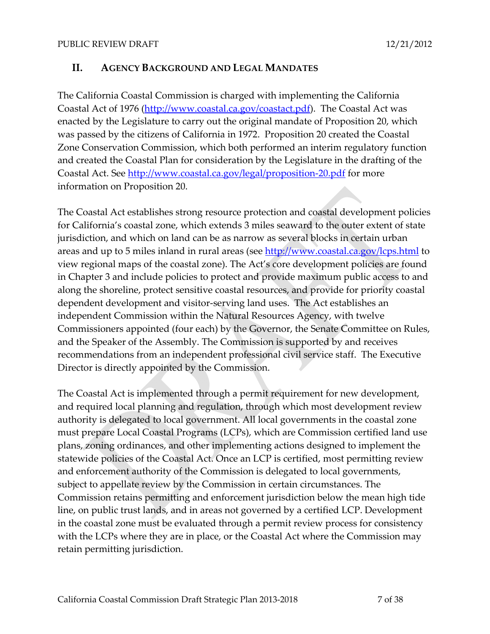#### **II. AGENCY BACKGROUND AND LEGAL MANDATES**

The California Coastal Commission is charged with implementing the California Coastal Act of 1976 ([http://www.coastal.ca.gov/coastact.pdf\)](http://www.coastal.ca.gov/coastact.pdf). The Coastal Act was enacted by the Legislature to carry out the original mandate of Proposition 20, which was passed by the citizens of California in 1972. Proposition 20 created the Coastal Zone Conservation Commission, which both performed an interim regulatory function and created the Coastal Plan for consideration by the Legislature in the drafting of the Coastal Act. See [http://www.coastal.ca.gov/legal/proposition](http://www.coastal.ca.gov/legal/proposition-20.pdf)‐20.pdf for more information on Proposition 20.

The Coastal Act establishes strong resource protection and coastal development policies for California's coastal zone, which extends 3 miles seaward to the outer extent of state jurisdiction, and which on land can be as narrow as several blocks in certain urban areas and up to 5 miles inland in rural areas (see <http://www.coastal.ca.gov/lcps.html> to view regional maps of the coastal zone). The Act's core development policies are found in Chapter 3 and include policies to protect and provide maximum public access to and along the shoreline, protect sensitive coastal resources, and provide for priority coastal dependent development and visitor‐serving land uses. The Act establishes an independent Commission within the Natural Resources Agency, with twelve Commissioners appointed (four each) by the Governor, the Senate Committee on Rules, and the Speaker of the Assembly. The Commission is supported by and receives recommendations from an independent professional civil service staff. The Executive Director is directly appointed by the Commission.

The Coastal Act is implemented through a permit requirement for new development, and required local planning and regulation, through which most development review authority is delegated to local government. All local governments in the coastal zone must prepare Local Coastal Programs (LCPs), which are Commission certified land use plans, zoning ordinances, and other implementing actions designed to implement the statewide policies of the Coastal Act. Once an LCP is certified, most permitting review and enforcement authority of the Commission is delegated to local governments, subject to appellate review by the Commission in certain circumstances. The Commission retains permitting and enforcement jurisdiction below the mean high tide line, on public trust lands, and in areas not governed by a certified LCP. Development in the coastal zone must be evaluated through a permit review process for consistency with the LCPs where they are in place, or the Coastal Act where the Commission may retain permitting jurisdiction.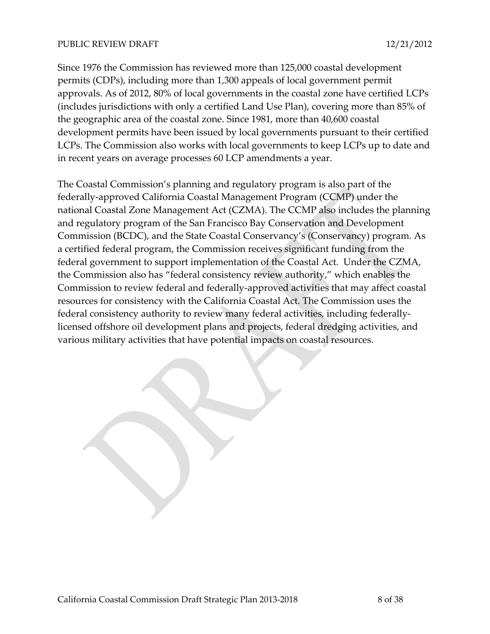Since 1976 the Commission has reviewed more than 125,000 coastal development permits (CDPs), including more than 1,300 appeals of local government permit approvals. As of 2012, 80% of local governments in the coastal zone have certified LCPs (includes jurisdictions with only a certified Land Use Plan), covering more than 85% of the geographic area of the coastal zone. Since 1981, more than 40,600 coastal development permits have been issued by local governments pursuant to their certified LCPs. The Commission also works with local governments to keep LCPs up to date and in recent years on average processes 60 LCP amendments a year.

The Coastal Commission's planning and regulatory program is also part of the federally‐approved California Coastal Management Program (CCMP) under the national Coastal Zone Management Act (CZMA). The CCMP also includes the planning and regulatory program of the San Francisco Bay Conservation and Development Commission (BCDC), and the State Coastal Conservancy's (Conservancy) program. As a certified federal program, the Commission receives significant funding from the federal government to support implementation of the Coastal Act. Under the CZMA, the Commission also has "federal consistency review authority," which enables the Commission to review federal and federally‐approved activities that may affect coastal resources for consistency with the California Coastal Act. The Commission uses the federal consistency authority to review many federal activities, including federally‐ licensed offshore oil development plans and projects, federal dredging activities, and various military activities that have potential impacts on coastal resources.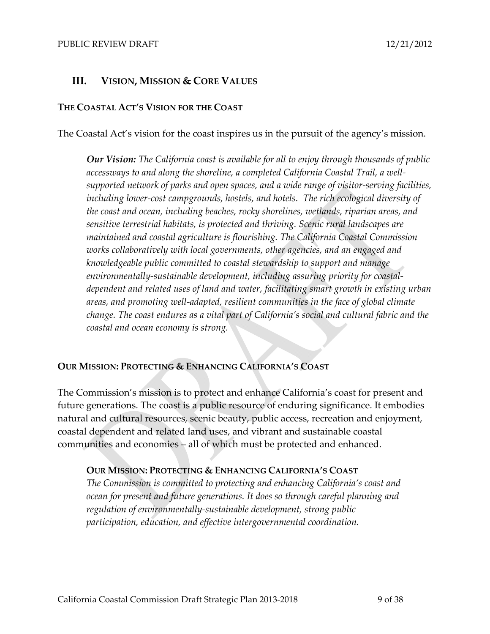### **III. VISION, MISSION & CORE VALUES**

#### **THE COASTAL ACT'S VISION FOR THE COAST**

The Coastal Act's vision for the coast inspires us in the pursuit of the agency's mission.

*Our Vision: The California coast is available for all to enjoy through thousands of public accessways to and along the shoreline, a completed California Coastal Trail, a well‐ supported network of parks and open spaces, and a wide range of visitor‐serving facilities, including lower‐cost campgrounds, hostels, and hotels. The rich ecological diversity of the coast and ocean, including beaches, rocky shorelines, wetlands, riparian areas, and sensitive terrestrial habitats, is protected and thriving. Scenic rural landscapes are maintained and coastal agriculture is flourishing. The California Coastal Commission works collaboratively with local governments, other agencies, and an engaged and knowledgeable public committed to coastal stewardship to support and manage environmentally‐sustainable development, including assuring priority for coastal‐ dependent and related uses of land and water, facilitating smart growth in existing urban areas, and promoting well‐adapted, resilient communities in the face of global climate change. The coast endures as a vital part of California's social and cultural fabric and the coastal and ocean economy is strong.*

#### **OUR MISSION: PROTECTING & ENHANCING CALIFORNIA'S COAST**

The Commission's mission is to protect and enhance California's coast for present and future generations. The coast is a public resource of enduring significance. It embodies natural and cultural resources, scenic beauty, public access, recreation and enjoyment, coastal dependent and related land uses, and vibrant and sustainable coastal communities and economies – all of which must be protected and enhanced.

#### **OUR MISSION: PROTECTING & ENHANCING CALIFORNIA'S COAST**

*The Commission is committed to protecting and enhancing California's coast and ocean for present and future generations. It does so through careful planning and regulation of environmentally‐sustainable development, strong public participation, education, and effective intergovernmental coordination.*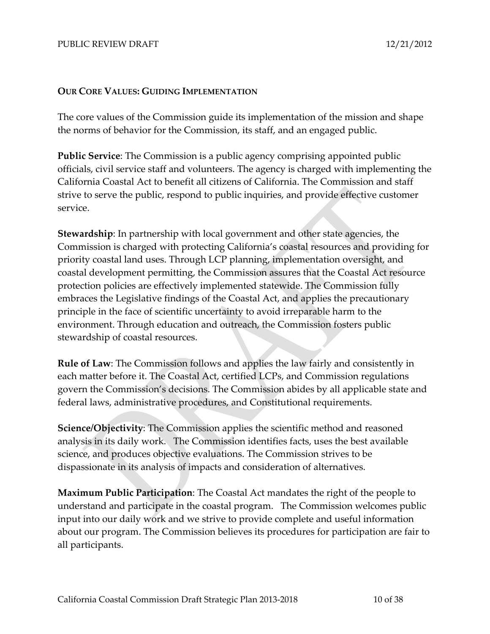#### **OUR CORE VALUES: GUIDING IMPLEMENTATION**

The core values of the Commission guide its implementation of the mission and shape the norms of behavior for the Commission, its staff, and an engaged public.

**Public Service**: The Commission is a public agency comprising appointed public officials, civil service staff and volunteers. The agency is charged with implementing the California Coastal Act to benefit all citizens of California. The Commission and staff strive to serve the public, respond to public inquiries, and provide effective customer service.

**Stewardship**: In partnership with local government and other state agencies, the Commission is charged with protecting California's coastal resources and providing for priority coastal land uses. Through LCP planning, implementation oversight, and coastal development permitting, the Commission assures that the Coastal Act resource protection policies are effectively implemented statewide. The Commission fully embraces the Legislative findings of the Coastal Act, and applies the precautionary principle in the face of scientific uncertainty to avoid irreparable harm to the environment. Through education and outreach, the Commission fosters public stewardship of coastal resources.

**Rule of Law**: The Commission follows and applies the law fairly and consistently in each matter before it. The Coastal Act, certified LCPs, and Commission regulations govern the Commission's decisions. The Commission abides by all applicable state and federal laws, administrative procedures, and Constitutional requirements.

**Science/Objectivity**: The Commission applies the scientific method and reasoned analysis in its daily work. The Commission identifies facts, uses the best available science, and produces objective evaluations. The Commission strives to be dispassionate in its analysis of impacts and consideration of alternatives.

**Maximum Public Participation**: The Coastal Act mandates the right of the people to understand and participate in the coastal program. The Commission welcomes public input into our daily work and we strive to provide complete and useful information about our program. The Commission believes its procedures for participation are fair to all participants.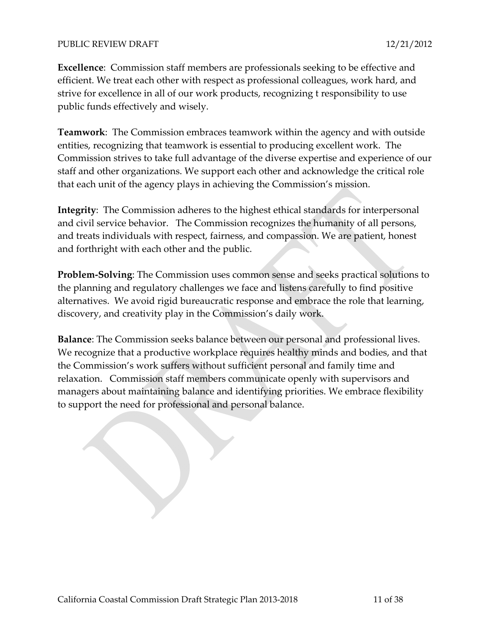**Excellence**: Commission staff members are professionals seeking to be effective and efficient. We treat each other with respect as professional colleagues, work hard, and strive for excellence in all of our work products, recognizing t responsibility to use public funds effectively and wisely.

**Teamwork**: The Commission embraces teamwork within the agency and with outside entities, recognizing that teamwork is essential to producing excellent work. The Commission strives to take full advantage of the diverse expertise and experience of our staff and other organizations. We support each other and acknowledge the critical role that each unit of the agency plays in achieving the Commission's mission.

**Integrity**: The Commission adheres to the highest ethical standards for interpersonal and civil service behavior. The Commission recognizes the humanity of all persons, and treats individuals with respect, fairness, and compassion. We are patient, honest and forthright with each other and the public.

**Problem‐Solving**: The Commission uses common sense and seeks practical solutions to the planning and regulatory challenges we face and listens carefully to find positive alternatives. We avoid rigid bureaucratic response and embrace the role that learning, discovery, and creativity play in the Commission's daily work.

**Balance**: The Commission seeks balance between our personal and professional lives. We recognize that a productive workplace requires healthy minds and bodies, and that the Commission's work suffers without sufficient personal and family time and relaxation. Commission staff members communicate openly with supervisors and managers about maintaining balance and identifying priorities. We embrace flexibility to support the need for professional and personal balance.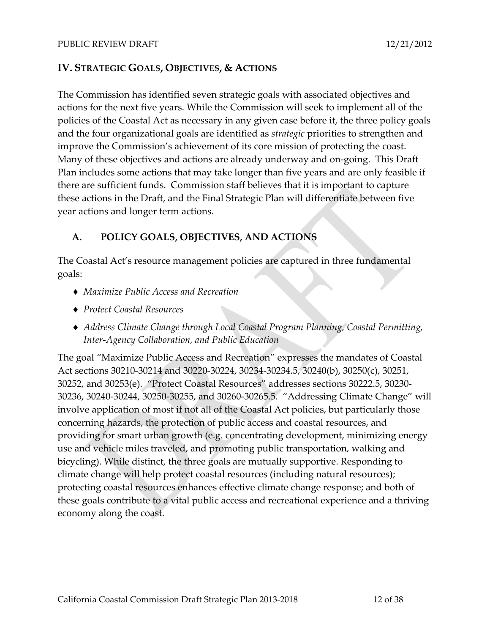### **IV. STRATEGIC GOALS, OBJECTIVES, & ACTIONS**

The Commission has identified seven strategic goals with associated objectives and actions for the next five years. While the Commission will seek to implement all of the policies of the Coastal Act as necessary in any given case before it, the three policy goals and the four organizational goals are identified as *strategic* priorities to strengthen and improve the Commission's achievement of its core mission of protecting the coast. Many of these objectives and actions are already underway and on‐going. This Draft Plan includes some actions that may take longer than five years and are only feasible if there are sufficient funds. Commission staff believes that it is important to capture these actions in the Draft, and the Final Strategic Plan will differentiate between five year actions and longer term actions.

### **A. POLICY GOALS, OBJECTIVES, AND ACTIONS**

The Coastal Act's resource management policies are captured in three fundamental goals:

- *Maximize Public Access and Recreation*
- *Protect Coastal Resources*
- *Address Climate Change through Local Coastal Program Planning, Coastal Permitting, Inter‐Agency Collaboration, and Public Education*

The goal "Maximize Public Access and Recreation" expresses the mandates of Coastal Act sections 30210‐30214 and 30220‐30224, 30234‐30234.5, 30240(b), 30250(c), 30251, 30252, and 30253(e). "Protect Coastal Resources" addresses sections 30222.5, 30230‐ 30236, 30240‐30244, 30250‐30255, and 30260‐30265.5. "Addressing Climate Change" will involve application of most if not all of the Coastal Act policies, but particularly those concerning hazards, the protection of public access and coastal resources, and providing for smart urban growth (e.g. concentrating development, minimizing energy use and vehicle miles traveled, and promoting public transportation, walking and bicycling). While distinct, the three goals are mutually supportive. Responding to climate change will help protect coastal resources (including natural resources); protecting coastal resources enhances effective climate change response; and both of these goals contribute to a vital public access and recreational experience and a thriving economy along the coast.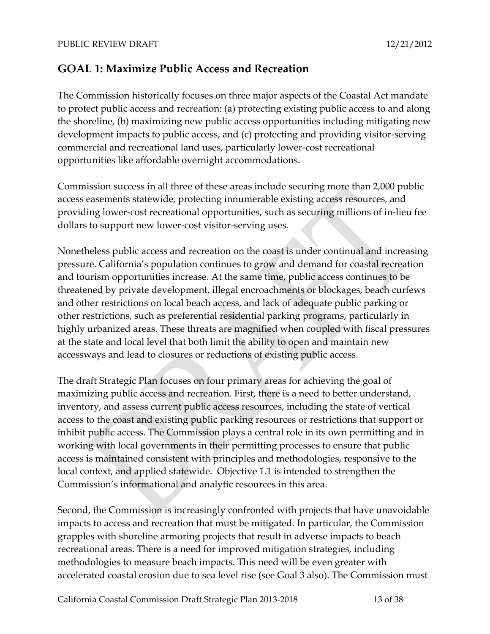### **GOAL 1: Maximize Public Access and Recreation**

The Commission historically focuses on three major aspects of the Coastal Act mandate to protect public access and recreation: (a) protecting existing public access to and along the shoreline, (b) maximizing new public access opportunities including mitigating new development impacts to public access, and (c) protecting and providing visitor-serving commercial and recreational land uses, particularly lower‐cost recreational opportunities like affordable overnight accommodations.

Commission success in all three of these areas include securing more than 2,000 public access easements statewide, protecting innumerable existing access resources, and providing lower‐cost recreational opportunities, such as securing millions of in‐lieu fee dollars to support new lower‐cost visitor‐serving uses.

Nonetheless public access and recreation on the coast is under continual and increasing pressure. California's population continues to grow and demand for coastal recreation and tourism opportunities increase. At the same time, public access continues to be threatened by private development, illegal encroachments or blockages, beach curfews and other restrictions on local beach access, and lack of adequate public parking or other restrictions, such as preferential residential parking programs, particularly in highly urbanized areas. These threats are magnified when coupled with fiscal pressures at the state and local level that both limit the ability to open and maintain new accessways and lead to closures or reductions of existing public access.

The draft Strategic Plan focuses on four primary areas for achieving the goal of maximizing public access and recreation. First, there is a need to better understand, inventory, and assess current public access resources, including the state of vertical access to the coast and existing public parking resources or restrictions that support or inhibit public access. The Commission plays a central role in its own permitting and in working with local governments in their permitting processes to ensure that public access is maintained consistent with principles and methodologies, responsive to the local context, and applied statewide. Objective 1.1 is intended to strengthen the Commission's informational and analytic resources in this area.

Second, the Commission is increasingly confronted with projects that have unavoidable impacts to access and recreation that must be mitigated. In particular, the Commission grapples with shoreline armoring projects that result in adverse impacts to beach recreational areas. There is a need for improved mitigation strategies, including methodologies to measure beach impacts. This need will be even greater with accelerated coastal erosion due to sea level rise (see Goal 3 also). The Commission must

California Coastal Commission Draft Strategic Plan 2013-2018 13 of 38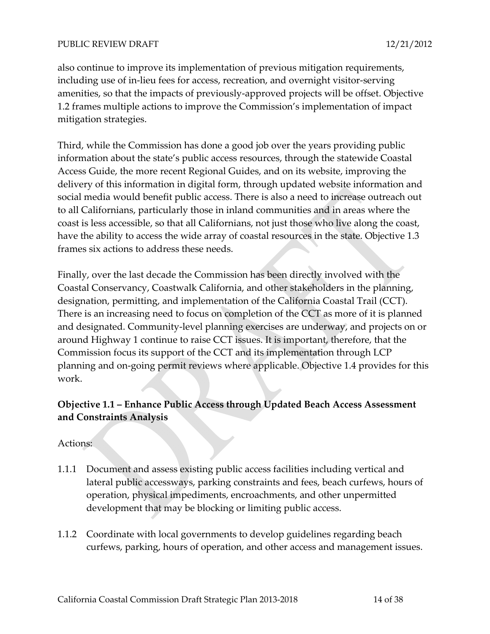also continue to improve its implementation of previous mitigation requirements, including use of in‐lieu fees for access, recreation, and overnight visitor‐serving amenities, so that the impacts of previously‐approved projects will be offset. Objective 1.2 frames multiple actions to improve the Commission's implementation of impact mitigation strategies.

Third, while the Commission has done a good job over the years providing public information about the state's public access resources, through the statewide Coastal Access Guide, the more recent Regional Guides, and on its website, improving the delivery of this information in digital form, through updated website information and social media would benefit public access. There is also a need to increase outreach out to all Californians, particularly those in inland communities and in areas where the coast is less accessible, so that all Californians, not just those who live along the coast, have the ability to access the wide array of coastal resources in the state. Objective 1.3 frames six actions to address these needs.

Finally, over the last decade the Commission has been directly involved with the Coastal Conservancy, Coastwalk California, and other stakeholders in the planning, designation, permitting, and implementation of the California Coastal Trail (CCT). There is an increasing need to focus on completion of the CCT as more of it is planned and designated. Community‐level planning exercises are underway, and projects on or around Highway 1 continue to raise CCT issues. It is important, therefore, that the Commission focus its support of the CCT and its implementation through LCP planning and on‐going permit reviews where applicable. Objective 1.4 provides for this work.

### **Objective 1.1 – Enhance Public Access through Updated Beach Access Assessment and Constraints Analysis**

- 1.1.1 Document and assess existing public access facilities including vertical and lateral public accessways, parking constraints and fees, beach curfews, hours of operation, physical impediments, encroachments, and other unpermitted development that may be blocking or limiting public access.
- 1.1.2 Coordinate with local governments to develop guidelines regarding beach curfews, parking, hours of operation, and other access and management issues.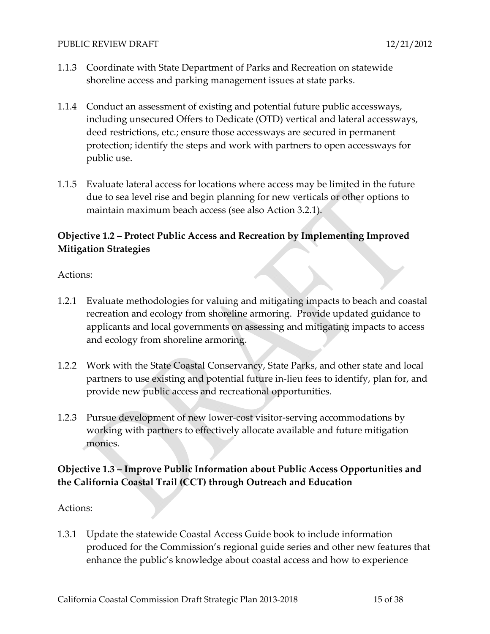- 1.1.3 Coordinate with State Department of Parks and Recreation on statewide shoreline access and parking management issues at state parks.
- 1.1.4 Conduct an assessment of existing and potential future public accessways, including unsecured Offers to Dedicate (OTD) vertical and lateral accessways, deed restrictions, etc.; ensure those accessways are secured in permanent protection; identify the steps and work with partners to open accessways for public use.
- 1.1.5 Evaluate lateral access for locations where access may be limited in the future due to sea level rise and begin planning for new verticals or other options to maintain maximum beach access (see also Action 3.2.1).

### **Objective 1.2 – Protect Public Access and Recreation by Implementing Improved Mitigation Strategies**

#### Actions:

- 1.2.1 Evaluate methodologies for valuing and mitigating impacts to beach and coastal recreation and ecology from shoreline armoring. Provide updated guidance to applicants and local governments on assessing and mitigating impacts to access and ecology from shoreline armoring.
- 1.2.2 Work with the State Coastal Conservancy, State Parks, and other state and local partners to use existing and potential future in‐lieu fees to identify, plan for, and provide new public access and recreational opportunities.
- 1.2.3 Pursue development of new lower-cost visitor-serving accommodations by working with partners to effectively allocate available and future mitigation monies.

### **Objective 1.3 – Improve Public Information about Public Access Opportunities and the California Coastal Trail (CCT) through Outreach and Education**

#### Actions:

1.3.1 Update the statewide Coastal Access Guide book to include information produced for the Commission's regional guide series and other new features that enhance the public's knowledge about coastal access and how to experience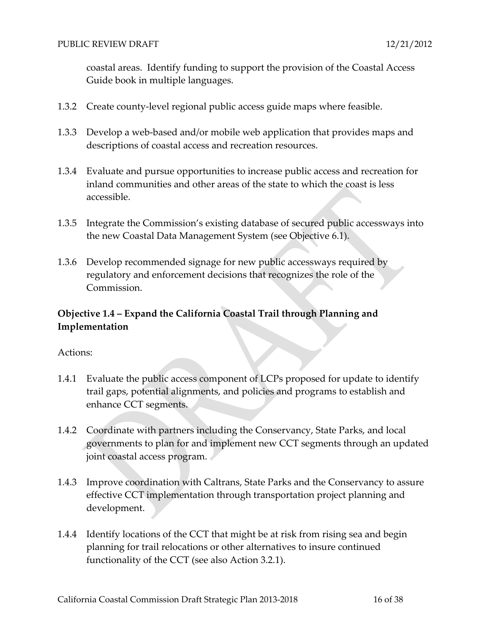coastal areas. Identify funding to support the provision of the Coastal Access Guide book in multiple languages.

- 1.3.2 Create county-level regional public access guide maps where feasible.
- 1.3.3 Develop a web-based and/or mobile web application that provides maps and descriptions of coastal access and recreation resources.
- 1.3.4 Evaluate and pursue opportunities to increase public access and recreation for inland communities and other areas of the state to which the coast is less accessible.
- 1.3.5 Integrate the Commission's existing database of secured public accessways into the new Coastal Data Management System (see Objective 6.1).
- 1.3.6 Develop recommended signage for new public accessways required by regulatory and enforcement decisions that recognizes the role of the Commission.

### **Objective 1.4 – Expand the California Coastal Trail through Planning and Implementation**

- 1.4.1 Evaluate the public access component of LCPs proposed for update to identify trail gaps, potential alignments, and policies and programs to establish and enhance CCT segments.
- 1.4.2 Coordinate with partners including the Conservancy, State Parks, and local governments to plan for and implement new CCT segments through an updated joint coastal access program.
- 1.4.3 Improve coordination with Caltrans, State Parks and the Conservancy to assure effective CCT implementation through transportation project planning and development.
- 1.4.4 Identify locations of the CCT that might be at risk from rising sea and begin planning for trail relocations or other alternatives to insure continued functionality of the CCT (see also Action 3.2.1).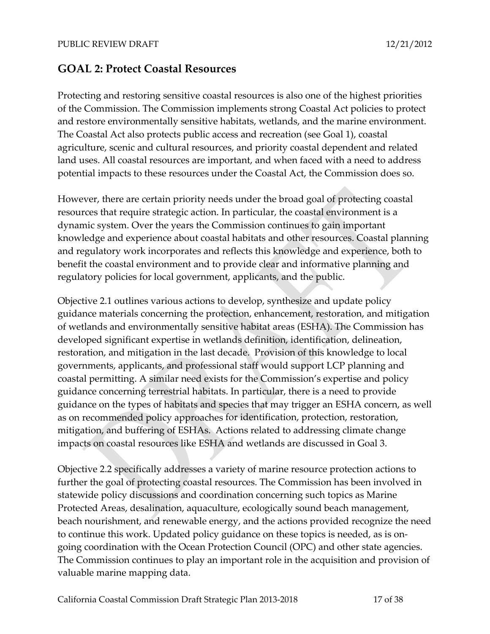### **GOAL 2: Protect Coastal Resources**

Protecting and restoring sensitive coastal resources is also one of the highest priorities of the Commission. The Commission implements strong Coastal Act policies to protect and restore environmentally sensitive habitats, wetlands, and the marine environment. The Coastal Act also protects public access and recreation (see Goal 1), coastal agriculture, scenic and cultural resources, and priority coastal dependent and related land uses. All coastal resources are important, and when faced with a need to address potential impacts to these resources under the Coastal Act, the Commission does so.

However, there are certain priority needs under the broad goal of protecting coastal resources that require strategic action. In particular, the coastal environment is a dynamic system. Over the years the Commission continues to gain important knowledge and experience about coastal habitats and other resources. Coastal planning and regulatory work incorporates and reflects this knowledge and experience, both to benefit the coastal environment and to provide clear and informative planning and regulatory policies for local government, applicants, and the public.

Objective 2.1 outlines various actions to develop, synthesize and update policy guidance materials concerning the protection, enhancement, restoration, and mitigation of wetlands and environmentally sensitive habitat areas (ESHA). The Commission has developed significant expertise in wetlands definition, identification, delineation, restoration, and mitigation in the last decade. Provision of this knowledge to local governments, applicants, and professional staff would support LCP planning and coastal permitting. A similar need exists for the Commission's expertise and policy guidance concerning terrestrial habitats. In particular, there is a need to provide guidance on the types of habitats and species that may trigger an ESHA concern, as well as on recommended policy approaches for identification, protection, restoration, mitigation, and buffering of ESHAs. Actions related to addressing climate change impacts on coastal resources like ESHA and wetlands are discussed in Goal 3.

Objective 2.2 specifically addresses a variety of marine resource protection actions to further the goal of protecting coastal resources. The Commission has been involved in statewide policy discussions and coordination concerning such topics as Marine Protected Areas, desalination, aquaculture, ecologically sound beach management, beach nourishment, and renewable energy, and the actions provided recognize the need to continue this work. Updated policy guidance on these topics is needed, as is ongoing coordination with the Ocean Protection Council (OPC) and other state agencies. The Commission continues to play an important role in the acquisition and provision of valuable marine mapping data.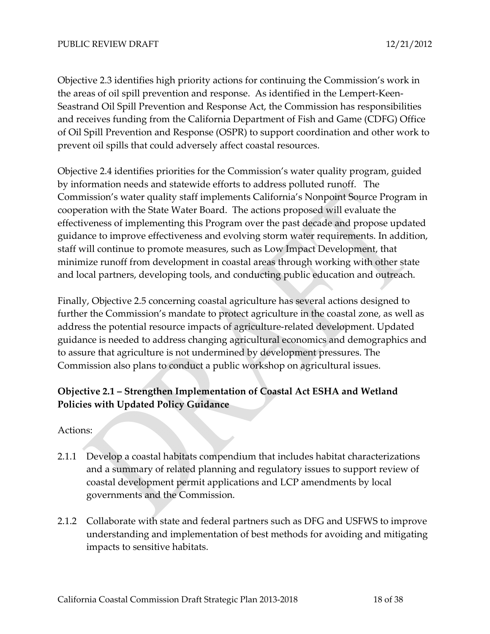Objective 2.3 identifies high priority actions for continuing the Commission's work in the areas of oil spill prevention and response. As identified in the Lempert‐Keen‐ Seastrand Oil Spill Prevention and Response Act, the Commission has responsibilities and receives funding from the California Department of Fish and Game (CDFG) Office of Oil Spill Prevention and Response (OSPR) to support coordination and other work to prevent oil spills that could adversely affect coastal resources.

Objective 2.4 identifies priorities for the Commission's water quality program, guided by information needs and statewide efforts to address polluted runoff. The Commission's water quality staff implements California's Nonpoint Source Program in cooperation with the State Water Board. The actions proposed will evaluate the effectiveness of implementing this Program over the past decade and propose updated guidance to improve effectiveness and evolving storm water requirements. In addition, staff will continue to promote measures, such as Low Impact Development, that minimize runoff from development in coastal areas through working with other state and local partners, developing tools, and conducting public education and outreach.

Finally, Objective 2.5 concerning coastal agriculture has several actions designed to further the Commission's mandate to protect agriculture in the coastal zone, as well as address the potential resource impacts of agriculture‐related development. Updated guidance is needed to address changing agricultural economics and demographics and to assure that agriculture is not undermined by development pressures. The Commission also plans to conduct a public workshop on agricultural issues.

### **Objective 2.1 – Strengthen Implementation of Coastal Act ESHA and Wetland Policies with Updated Policy Guidance**

- 2.1.1 Develop a coastal habitats compendium that includes habitat characterizations and a summary of related planning and regulatory issues to support review of coastal development permit applications and LCP amendments by local governments and the Commission.
- 2.1.2 Collaborate with state and federal partners such as DFG and USFWS to improve understanding and implementation of best methods for avoiding and mitigating impacts to sensitive habitats.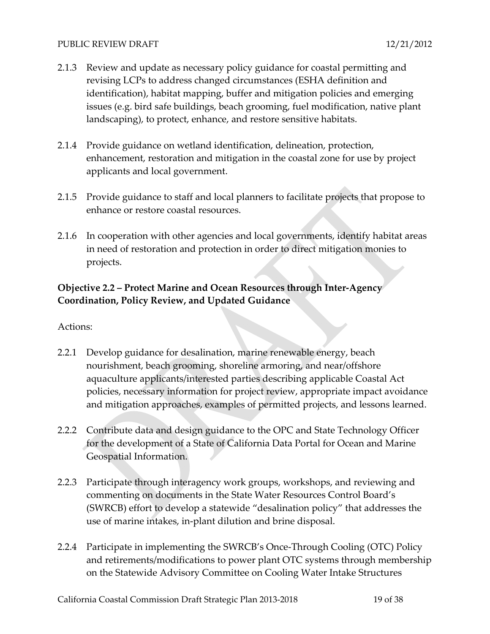- 2.1.3 Review and update as necessary policy guidance for coastal permitting and revising LCPs to address changed circumstances (ESHA definition and identification), habitat mapping, buffer and mitigation policies and emerging issues (e.g. bird safe buildings, beach grooming, fuel modification, native plant landscaping), to protect, enhance, and restore sensitive habitats.
- 2.1.4 Provide guidance on wetland identification, delineation, protection, enhancement, restoration and mitigation in the coastal zone for use by project applicants and local government.
- 2.1.5 Provide guidance to staff and local planners to facilitate projects that propose to enhance or restore coastal resources.
- 2.1.6 In cooperation with other agencies and local governments, identify habitat areas in need of restoration and protection in order to direct mitigation monies to projects.

### **Objective 2.2 – Protect Marine and Ocean Resources through Inter‐Agency Coordination, Policy Review, and Updated Guidance**

- 2.2.1 Develop guidance for desalination, marine renewable energy, beach nourishment, beach grooming, shoreline armoring, and near/offshore aquaculture applicants/interested parties describing applicable Coastal Act policies, necessary information for project review, appropriate impact avoidance and mitigation approaches, examples of permitted projects, and lessons learned.
- 2.2.2 Contribute data and design guidance to the OPC and State Technology Officer for the development of a State of California Data Portal for Ocean and Marine Geospatial Information.
- 2.2.3 Participate through interagency work groups, workshops, and reviewing and commenting on documents in the State Water Resources Control Board's (SWRCB) effort to develop a statewide "desalination policy" that addresses the use of marine intakes, in‐plant dilution and brine disposal.
- 2.2.4 Participate in implementing the SWRCB's Once-Through Cooling (OTC) Policy and retirements/modifications to power plant OTC systems through membership on the Statewide Advisory Committee on Cooling Water Intake Structures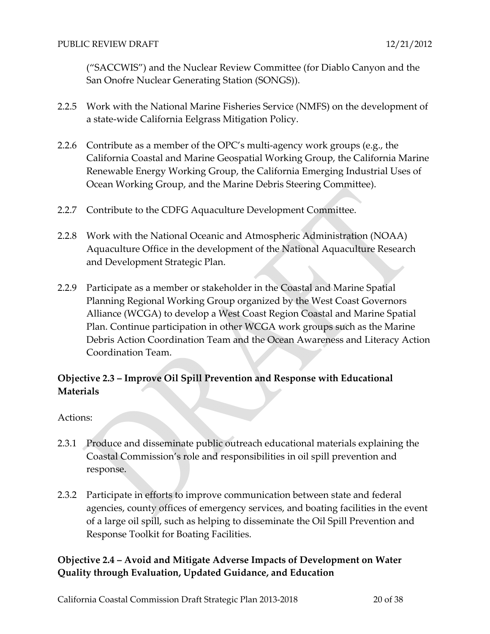("SACCWIS") and the Nuclear Review Committee (for Diablo Canyon and the San Onofre Nuclear Generating Station (SONGS)).

- 2.2.5 Work with the National Marine Fisheries Service (NMFS) on the development of a state‐wide California Eelgrass Mitigation Policy.
- 2.2.6 Contribute as a member of the OPC's multi-agency work groups (e.g., the California Coastal and Marine Geospatial Working Group, the California Marine Renewable Energy Working Group, the California Emerging Industrial Uses of Ocean Working Group, and the Marine Debris Steering Committee).
- 2.2.7 Contribute to the CDFG Aquaculture Development Committee.
- 2.2.8 Work with the National Oceanic and Atmospheric Administration (NOAA) Aquaculture Office in the development of the National Aquaculture Research and Development Strategic Plan.
- 2.2.9 Participate as a member or stakeholder in the Coastal and Marine Spatial Planning Regional Working Group organized by the West Coast Governors Alliance (WCGA) to develop a West Coast Region Coastal and Marine Spatial Plan. Continue participation in other WCGA work groups such as the Marine Debris Action Coordination Team and the Ocean Awareness and Literacy Action Coordination Team.

### **Objective 2.3 – Improve Oil Spill Prevention and Response with Educational Materials**

Actions:

- 2.3.1 Produce and disseminate public outreach educational materials explaining the Coastal Commission's role and responsibilities in oil spill prevention and response.
- 2.3.2 Participate in efforts to improve communication between state and federal agencies, county offices of emergency services, and boating facilities in the event of a large oil spill, such as helping to disseminate the Oil Spill Prevention and Response Toolkit for Boating Facilities.

### **Objective 2.4 – Avoid and Mitigate Adverse Impacts of Development on Water Quality through Evaluation, Updated Guidance, and Education**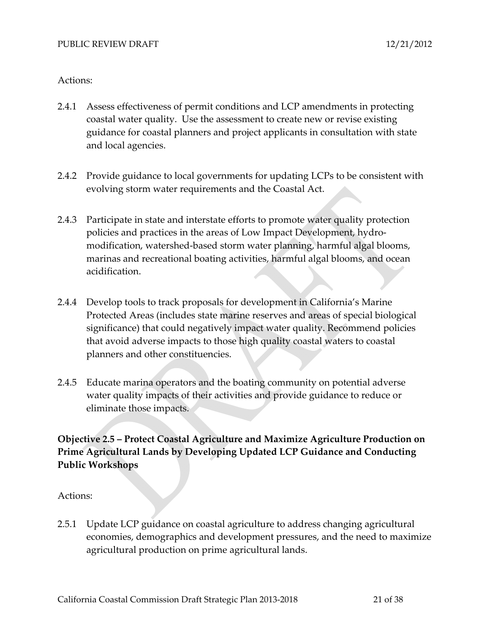#### Actions:

- 2.4.1 Assess effectiveness of permit conditions and LCP amendments in protecting coastal water quality. Use the assessment to create new or revise existing guidance for coastal planners and project applicants in consultation with state and local agencies.
- 2.4.2 Provide guidance to local governments for updating LCPs to be consistent with evolving storm water requirements and the Coastal Act.
- 2.4.3 Participate in state and interstate efforts to promote water quality protection policies and practices in the areas of Low Impact Development, hydro‐ modification, watershed‐based storm water planning, harmful algal blooms, marinas and recreational boating activities, harmful algal blooms, and ocean acidification.
- 2.4.4 Develop tools to track proposals for development in California's Marine Protected Areas (includes state marine reserves and areas of special biological significance) that could negatively impact water quality. Recommend policies that avoid adverse impacts to those high quality coastal waters to coastal planners and other constituencies.
- 2.4.5 Educate marina operators and the boating community on potential adverse water quality impacts of their activities and provide guidance to reduce or eliminate those impacts.

### **Objective 2.5 – Protect Coastal Agriculture and Maximize Agriculture Production on Prime Agricultural Lands by Developing Updated LCP Guidance and Conducting Public Workshops**

Actions:

2.5.1 Update LCP guidance on coastal agriculture to address changing agricultural economies, demographics and development pressures, and the need to maximize agricultural production on prime agricultural lands.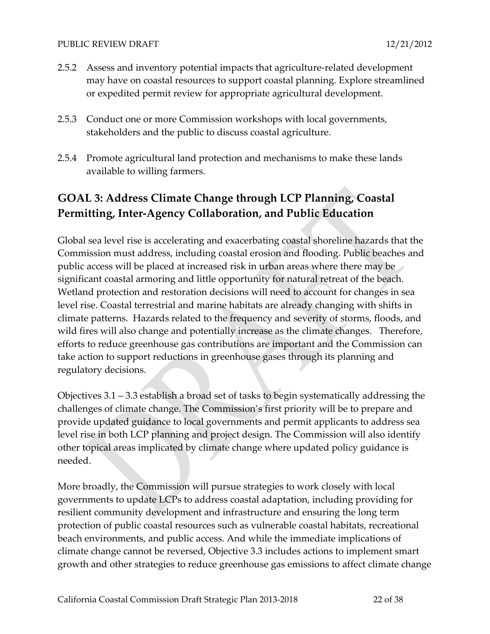- 2.5.2 Assess and inventory potential impacts that agriculture‐related development may have on coastal resources to support coastal planning. Explore streamlined or expedited permit review for appropriate agricultural development.
- 2.5.3 Conduct one or more Commission workshops with local governments, stakeholders and the public to discuss coastal agriculture.
- 2.5.4 Promote agricultural land protection and mechanisms to make these lands available to willing farmers.

# **GOAL 3: Address Climate Change through LCP Planning, Coastal Permitting, Inter‐Agency Collaboration, and Public Education**

Global sea level rise is accelerating and exacerbating coastal shoreline hazards that the Commission must address, including coastal erosion and flooding. Public beaches and public access will be placed at increased risk in urban areas where there may be significant coastal armoring and little opportunity for natural retreat of the beach. Wetland protection and restoration decisions will need to account for changes in sea level rise. Coastal terrestrial and marine habitats are already changing with shifts in climate patterns. Hazards related to the frequency and severity of storms, floods, and wild fires will also change and potentially increase as the climate changes. Therefore, efforts to reduce greenhouse gas contributions are important and the Commission can take action to support reductions in greenhouse gases through its planning and regulatory decisions.

Objectives 3.1 – 3.3 establish a broad set of tasks to begin systematically addressing the challenges of climate change. The Commission's first priority will be to prepare and provide updated guidance to local governments and permit applicants to address sea level rise in both LCP planning and project design. The Commission will also identify other topical areas implicated by climate change where updated policy guidance is needed.

More broadly, the Commission will pursue strategies to work closely with local governments to update LCPs to address coastal adaptation, including providing for resilient community development and infrastructure and ensuring the long term protection of public coastal resources such as vulnerable coastal habitats, recreational beach environments, and public access. And while the immediate implications of climate change cannot be reversed, Objective 3.3 includes actions to implement smart growth and other strategies to reduce greenhouse gas emissions to affect climate change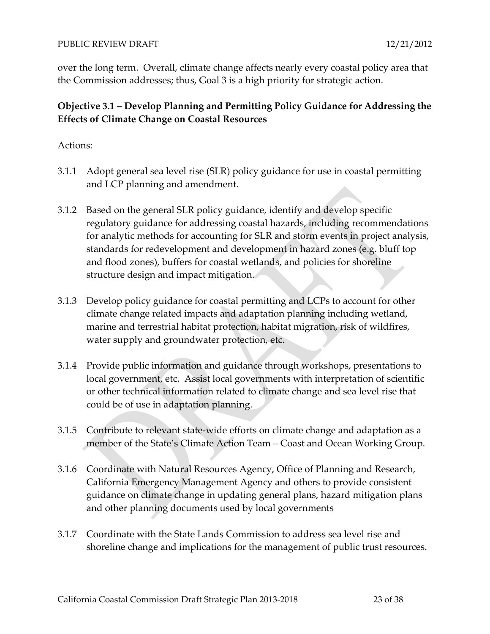over the long term. Overall, climate change affects nearly every coastal policy area that the Commission addresses; thus, Goal 3 is a high priority for strategic action.

### **Objective 3.1 – Develop Planning and Permitting Policy Guidance for Addressing the Effects of Climate Change on Coastal Resources**

- 3.1.1 Adopt general sea level rise (SLR) policy guidance for use in coastal permitting and LCP planning and amendment.
- 3.1.2 Based on the general SLR policy guidance, identify and develop specific regulatory guidance for addressing coastal hazards, including recommendations for analytic methods for accounting for SLR and storm events in project analysis, standards for redevelopment and development in hazard zones (e.g. bluff top and flood zones), buffers for coastal wetlands, and policies for shoreline structure design and impact mitigation.
- 3.1.3 Develop policy guidance for coastal permitting and LCPs to account for other climate change related impacts and adaptation planning including wetland, marine and terrestrial habitat protection, habitat migration, risk of wildfires, water supply and groundwater protection, etc.
- 3.1.4 Provide public information and guidance through workshops, presentations to local government, etc. Assist local governments with interpretation of scientific or other technical information related to climate change and sea level rise that could be of use in adaptation planning.
- 3.1.5 Contribute to relevant state‐wide efforts on climate change and adaptation as a member of the State's Climate Action Team – Coast and Ocean Working Group.
- 3.1.6 Coordinate with Natural Resources Agency, Office of Planning and Research, California Emergency Management Agency and others to provide consistent guidance on climate change in updating general plans, hazard mitigation plans and other planning documents used by local governments
- 3.1.7 Coordinate with the State Lands Commission to address sea level rise and shoreline change and implications for the management of public trust resources.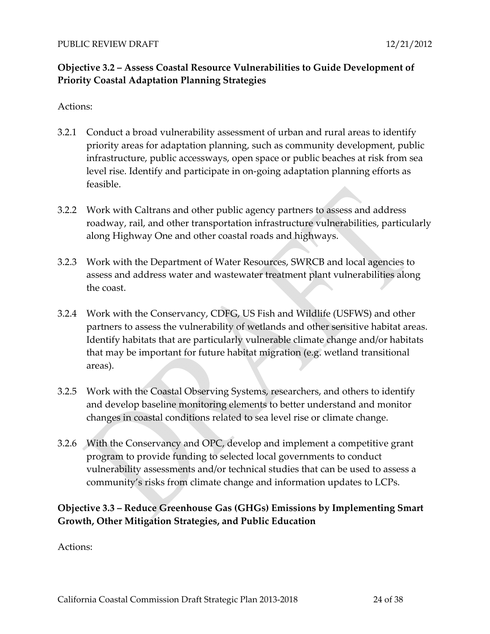### **Objective 3.2 – Assess Coastal Resource Vulnerabilities to Guide Development of Priority Coastal Adaptation Planning Strategies**

#### Actions:

- 3.2.1 Conduct a broad vulnerability assessment of urban and rural areas to identify priority areas for adaptation planning, such as community development, public infrastructure, public accessways, open space or public beaches at risk from sea level rise. Identify and participate in on‐going adaptation planning efforts as feasible.
- 3.2.2 Work with Caltrans and other public agency partners to assess and address roadway, rail, and other transportation infrastructure vulnerabilities, particularly along Highway One and other coastal roads and highways.
- 3.2.3 Work with the Department of Water Resources, SWRCB and local agencies to assess and address water and wastewater treatment plant vulnerabilities along the coast.
- 3.2.4 Work with the Conservancy, CDFG, US Fish and Wildlife (USFWS) and other partners to assess the vulnerability of wetlands and other sensitive habitat areas. Identify habitats that are particularly vulnerable climate change and/or habitats that may be important for future habitat migration (e.g. wetland transitional areas).
- 3.2.5 Work with the Coastal Observing Systems, researchers, and others to identify and develop baseline monitoring elements to better understand and monitor changes in coastal conditions related to sea level rise or climate change.
- 3.2.6 With the Conservancy and OPC, develop and implement a competitive grant program to provide funding to selected local governments to conduct vulnerability assessments and/or technical studies that can be used to assess a community's risks from climate change and information updates to LCPs.

### **Objective 3.3 – Reduce Greenhouse Gas (GHGs) Emissions by Implementing Smart Growth, Other Mitigation Strategies, and Public Education**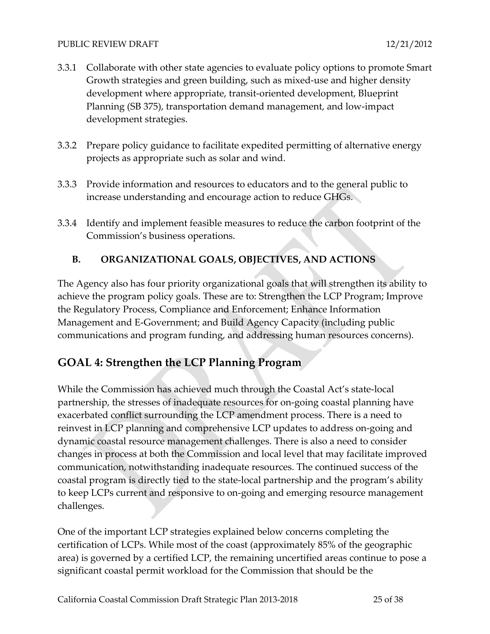- 3.3.1 Collaborate with other state agencies to evaluate policy options to promote Smart Growth strategies and green building, such as mixed‐use and higher density development where appropriate, transit‐oriented development, Blueprint Planning (SB 375), transportation demand management, and low‐impact development strategies.
- 3.3.2 Prepare policy guidance to facilitate expedited permitting of alternative energy projects as appropriate such as solar and wind.
- 3.3.3 Provide information and resources to educators and to the general public to increase understanding and encourage action to reduce GHGs.
- 3.3.4 Identify and implement feasible measures to reduce the carbon footprint of the Commission's business operations.

### **B. ORGANIZATIONAL GOALS, OBJECTIVES, AND ACTIONS**

The Agency also has four priority organizational goals that will strengthen its ability to achieve the program policy goals. These are to: Strengthen the LCP Program; Improve the Regulatory Process, Compliance and Enforcement; Enhance Information Management and E‐Government; and Build Agency Capacity (including public communications and program funding, and addressing human resources concerns).

### **GOAL 4: Strengthen the LCP Planning Program**

While the Commission has achieved much through the Coastal Act's state‐local partnership, the stresses of inadequate resources for on‐going coastal planning have exacerbated conflict surrounding the LCP amendment process. There is a need to reinvest in LCP planning and comprehensive LCP updates to address on‐going and dynamic coastal resource management challenges. There is also a need to consider changes in process at both the Commission and local level that may facilitate improved communication, notwithstanding inadequate resources. The continued success of the coastal program is directly tied to the state‐local partnership and the program's ability to keep LCPs current and responsive to on‐going and emerging resource management challenges.

One of the important LCP strategies explained below concerns completing the certification of LCPs. While most of the coast (approximately 85% of the geographic area) is governed by a certified LCP, the remaining uncertified areas continue to pose a significant coastal permit workload for the Commission that should be the

California Coastal Commission Draft Strategic Plan 2013-2018 25 of 38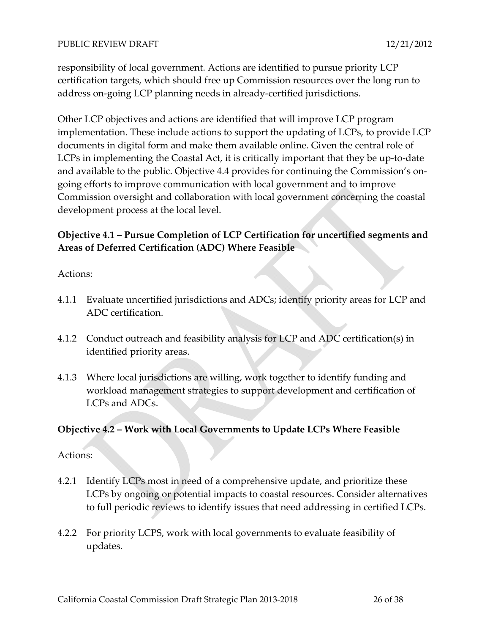responsibility of local government. Actions are identified to pursue priority LCP certification targets, which should free up Commission resources over the long run to address on‐going LCP planning needs in already‐certified jurisdictions.

Other LCP objectives and actions are identified that will improve LCP program implementation. These include actions to support the updating of LCPs, to provide LCP documents in digital form and make them available online. Given the central role of LCPs in implementing the Coastal Act, it is critically important that they be up‐to‐date and available to the public. Objective 4.4 provides for continuing the Commission's ongoing efforts to improve communication with local government and to improve Commission oversight and collaboration with local government concerning the coastal development process at the local level.

### **Objective 4.1 – Pursue Completion of LCP Certification for uncertified segments and Areas of Deferred Certification (ADC) Where Feasible**

Actions:

- 4.1.1 Evaluate uncertified jurisdictions and ADCs; identify priority areas for LCP and ADC certification.
- 4.1.2 Conduct outreach and feasibility analysis for LCP and ADC certification(s) in identified priority areas.
- 4.1.3 Where local jurisdictions are willing, work together to identify funding and workload management strategies to support development and certification of LCPs and ADCs.

#### **Objective 4.2 – Work with Local Governments to Update LCPs Where Feasible**

- 4.2.1 Identify LCPs most in need of a comprehensive update, and prioritize these LCPs by ongoing or potential impacts to coastal resources. Consider alternatives to full periodic reviews to identify issues that need addressing in certified LCPs.
- 4.2.2 For priority LCPS, work with local governments to evaluate feasibility of updates.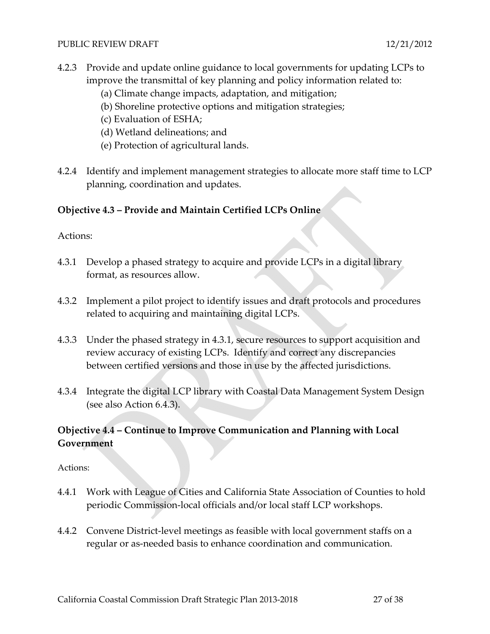- 4.2.3 Provide and update online guidance to local governments for updating LCPs to improve the transmittal of key planning and policy information related to:
	- (a) Climate change impacts, adaptation, and mitigation;
	- (b) Shoreline protective options and mitigation strategies;
	- (c) Evaluation of ESHA;
	- (d) Wetland delineations; and
	- (e) Protection of agricultural lands.
- 4.2.4 Identify and implement management strategies to allocate more staff time to LCP planning, coordination and updates.

### **Objective 4.3 – Provide and Maintain Certified LCPs Online**

Actions:

- 4.3.1 Develop a phased strategy to acquire and provide LCPs in a digital library format, as resources allow.
- 4.3.2 Implement a pilot project to identify issues and draft protocols and procedures related to acquiring and maintaining digital LCPs.
- 4.3.3 Under the phased strategy in 4.3.1, secure resources to support acquisition and review accuracy of existing LCPs. Identify and correct any discrepancies between certified versions and those in use by the affected jurisdictions.
- 4.3.4 Integrate the digital LCP library with Coastal Data Management System Design (see also Action 6.4.3).

### **Objective 4.4 – Continue to Improve Communication and Planning with Local Government**

- 4.4.1 Work with League of Cities and California State Association of Counties to hold periodic Commission‐local officials and/or local staff LCP workshops.
- 4.4.2 Convene District-level meetings as feasible with local government staffs on a regular or as‐needed basis to enhance coordination and communication.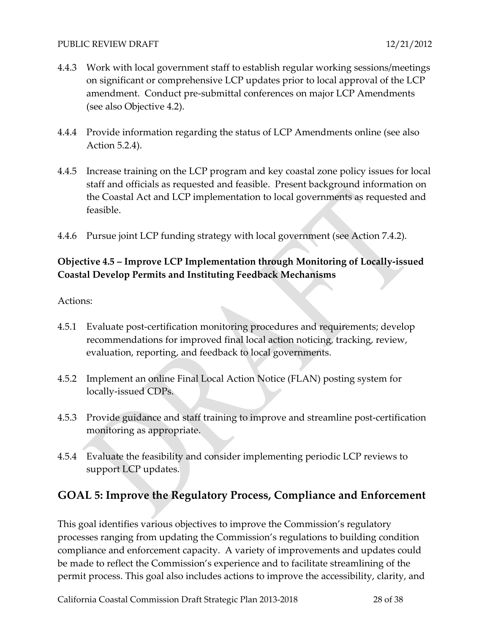- 4.4.3 Work with local government staff to establish regular working sessions/meetings on significant or comprehensive LCP updates prior to local approval of the LCP amendment. Conduct pre‐submittal conferences on major LCP Amendments (see also Objective 4.2).
- 4.4.4 Provide information regarding the status of LCP Amendments online (see also Action 5.2.4).
- 4.4.5 Increase training on the LCP program and key coastal zone policy issues for local staff and officials as requested and feasible. Present background information on the Coastal Act and LCP implementation to local governments as requested and feasible.
- 4.4.6 Pursue joint LCP funding strategy with local government (see Action 7.4.2).

### **Objective 4.5 – Improve LCP Implementation through Monitoring of Locally‐issued Coastal Develop Permits and Instituting Feedback Mechanisms**

Actions:

- 4.5.1 Evaluate post-certification monitoring procedures and requirements; develop recommendations for improved final local action noticing, tracking, review, evaluation, reporting, and feedback to local governments.
- 4.5.2 Implement an online Final Local Action Notice (FLAN) posting system for locally‐issued CDPs.
- 4.5.3 Provide guidance and staff training to improve and streamline post-certification monitoring as appropriate.
- 4.5.4 Evaluate the feasibility and consider implementing periodic LCP reviews to support LCP updates.

# **GOAL 5: Improve the Regulatory Process, Compliance and Enforcement**

This goal identifies various objectives to improve the Commission's regulatory processes ranging from updating the Commission's regulations to building condition compliance and enforcement capacity. A variety of improvements and updates could be made to reflect the Commission's experience and to facilitate streamlining of the permit process. This goal also includes actions to improve the accessibility, clarity, and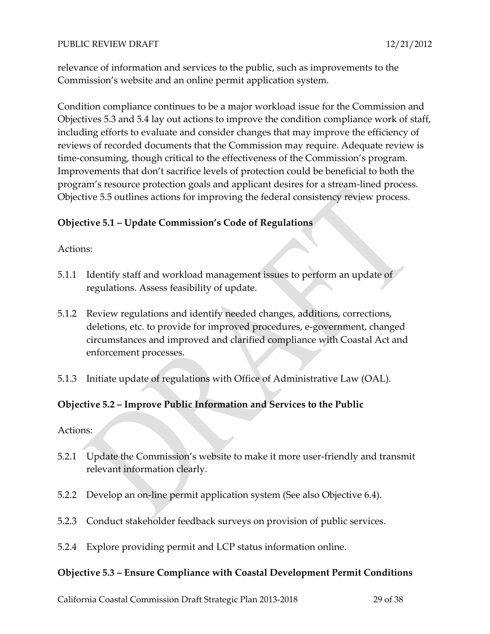relevance of information and services to the public, such as improvements to the Commission's website and an online permit application system.

Condition compliance continues to be a major workload issue for the Commission and Objectives 5.3 and 5.4 lay out actions to improve the condition compliance work of staff, including efforts to evaluate and consider changes that may improve the efficiency of reviews of recorded documents that the Commission may require. Adequate review is time-consuming, though critical to the effectiveness of the Commission's program. Improvements that don't sacrifice levels of protection could be beneficial to both the program's resource protection goals and applicant desires for a stream‐lined process. Objective 5.5 outlines actions for improving the federal consistency review process.

#### **Objective 5.1 – Update Commission's Code of Regulations**

#### Actions:

- 5.1.1 Identify staff and workload management issues to perform an update of regulations. Assess feasibility of update.
- 5.1.2 Review regulations and identify needed changes, additions, corrections, deletions, etc. to provide for improved procedures, e‐government, changed circumstances and improved and clarified compliance with Coastal Act and enforcement processes.
- 5.1.3 Initiate update of regulations with Office of Administrative Law (OAL).

#### **Objective 5.2 – Improve Public Information and Services to the Public**

Actions:

- 5.2.1 Update the Commission's website to make it more user-friendly and transmit relevant information clearly.
- 5.2.2 Develop an on‐line permit application system (See also Objective 6.4).
- 5.2.3 Conduct stakeholder feedback surveys on provision of public services.
- 5.2.4 Explore providing permit and LCP status information online.

#### **Objective 5.3 – Ensure Compliance with Coastal Development Permit Conditions**

California Coastal Commission Draft Strategic Plan 2013‐2018 29 of 38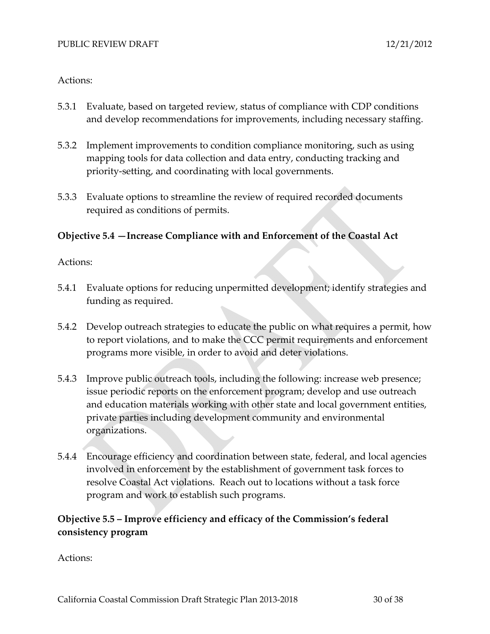#### Actions:

- 5.3.1 Evaluate, based on targeted review, status of compliance with CDP conditions and develop recommendations for improvements, including necessary staffing.
- 5.3.2 Implement improvements to condition compliance monitoring, such as using mapping tools for data collection and data entry, conducting tracking and priority‐setting, and coordinating with local governments.
- 5.3.3 Evaluate options to streamline the review of required recorded documents required as conditions of permits.

#### **Objective 5.4 —Increase Compliance with and Enforcement of the Coastal Act**

#### Actions:

- 5.4.1 Evaluate options for reducing unpermitted development; identify strategies and funding as required.
- 5.4.2 Develop outreach strategies to educate the public on what requires a permit, how to report violations, and to make the CCC permit requirements and enforcement programs more visible, in order to avoid and deter violations.
- 5.4.3 Improve public outreach tools, including the following: increase web presence; issue periodic reports on the enforcement program; develop and use outreach and education materials working with other state and local government entities, private parties including development community and environmental organizations.
- 5.4.4 Encourage efficiency and coordination between state, federal, and local agencies involved in enforcement by the establishment of government task forces to resolve Coastal Act violations. Reach out to locations without a task force program and work to establish such programs.

### **Objective 5.5 – Improve efficiency and efficacy of the Commission's federal consistency program**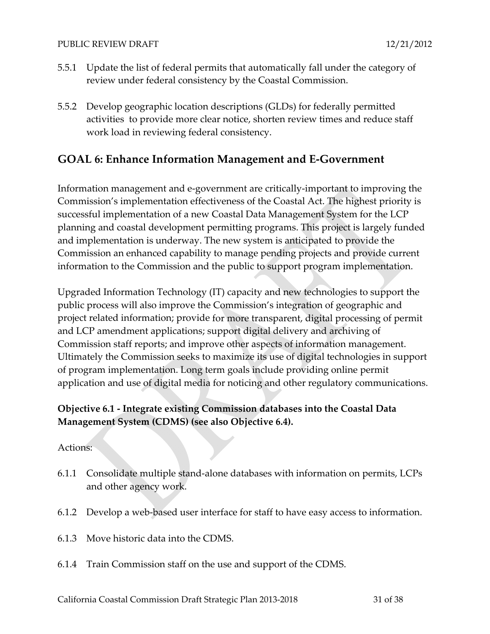- 5.5.1 Update the list of federal permits that automatically fall under the category of review under federal consistency by the Coastal Commission.
- 5.5.2 Develop geographic location descriptions (GLDs) for federally permitted activities to provide more clear notice, shorten review times and reduce staff work load in reviewing federal consistency.

### **GOAL 6: Enhance Information Management and E‐Government**

Information management and e‐government are critically‐important to improving the Commission's implementation effectiveness of the Coastal Act. The highest priority is successful implementation of a new Coastal Data Management System for the LCP planning and coastal development permitting programs. This project is largely funded and implementation is underway. The new system is anticipated to provide the Commission an enhanced capability to manage pending projects and provide current information to the Commission and the public to support program implementation.

Upgraded Information Technology (IT) capacity and new technologies to support the public process will also improve the Commission's integration of geographic and project related information; provide for more transparent, digital processing of permit and LCP amendment applications; support digital delivery and archiving of Commission staff reports; and improve other aspects of information management. Ultimately the Commission seeks to maximize its use of digital technologies in support of program implementation. Long term goals include providing online permit application and use of digital media for noticing and other regulatory communications.

### **Objective 6.1 ‐ Integrate existing Commission databases into the Coastal Data Management System (CDMS) (see also Objective 6.4).**

- 6.1.1 Consolidate multiple stand‐alone databases with information on permits, LCPs and other agency work.
- 6.1.2 Develop a web‐based user interface for staff to have easy access to information.
- 6.1.3 Move historic data into the CDMS.
- 6.1.4 Train Commission staff on the use and support of the CDMS.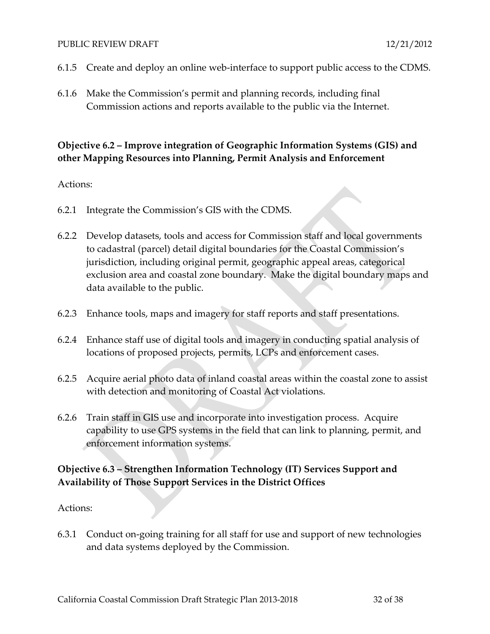- 6.1.5 Create and deploy an online web‐interface to support public access to the CDMS.
- 6.1.6 Make the Commission's permit and planning records, including final Commission actions and reports available to the public via the Internet.

### **Objective 6.2 – Improve integration of Geographic Information Systems (GIS) and other Mapping Resources into Planning, Permit Analysis and Enforcement**

#### Actions:

- 6.2.1 Integrate the Commission's GIS with the CDMS.
- 6.2.2 Develop datasets, tools and access for Commission staff and local governments to cadastral (parcel) detail digital boundaries for the Coastal Commission's jurisdiction, including original permit, geographic appeal areas, categorical exclusion area and coastal zone boundary. Make the digital boundary maps and data available to the public.
- 6.2.3 Enhance tools, maps and imagery for staff reports and staff presentations.
- 6.2.4 Enhance staff use of digital tools and imagery in conducting spatial analysis of locations of proposed projects, permits, LCPs and enforcement cases.
- 6.2.5 Acquire aerial photo data of inland coastal areas within the coastal zone to assist with detection and monitoring of Coastal Act violations.
- 6.2.6 Train staff in GIS use and incorporate into investigation process. Acquire capability to use GPS systems in the field that can link to planning, permit, and enforcement information systems.

### **Objective 6.3 – Strengthen Information Technology (IT) Services Support and Availability of Those Support Services in the District Offices**

#### Actions:

6.3.1 Conduct on‐going training for all staff for use and support of new technologies and data systems deployed by the Commission.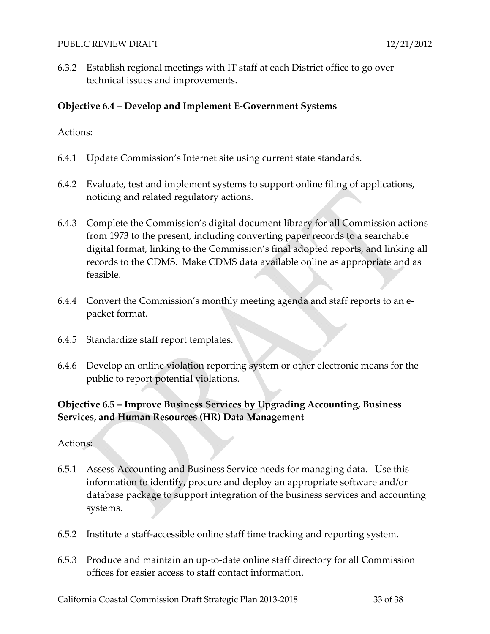6.3.2 Establish regional meetings with IT staff at each District office to go over technical issues and improvements.

#### **Objective 6.4 – Develop and Implement E‐Government Systems**

Actions:

- 6.4.1 Update Commission's Internet site using current state standards.
- 6.4.2 Evaluate, test and implement systems to support online filing of applications, noticing and related regulatory actions.
- 6.4.3 Complete the Commission's digital document library for all Commission actions from 1973 to the present, including converting paper records to a searchable digital format, linking to the Commission's final adopted reports, and linking all records to the CDMS. Make CDMS data available online as appropriate and as feasible.
- 6.4.4 Convert the Commission's monthly meeting agenda and staff reports to an e‐ packet format.
- 6.4.5 Standardize staff report templates.
- 6.4.6 Develop an online violation reporting system or other electronic means for the public to report potential violations.

### **Objective 6.5 – Improve Business Services by Upgrading Accounting, Business Services, and Human Resources (HR) Data Management**

- 6.5.1 Assess Accounting and Business Service needs for managing data. Use this information to identify, procure and deploy an appropriate software and/or database package to support integration of the business services and accounting systems.
- 6.5.2 Institute a staff‐accessible online staff time tracking and reporting system.
- 6.5.3 Produce and maintain an up‐to‐date online staff directory for all Commission offices for easier access to staff contact information.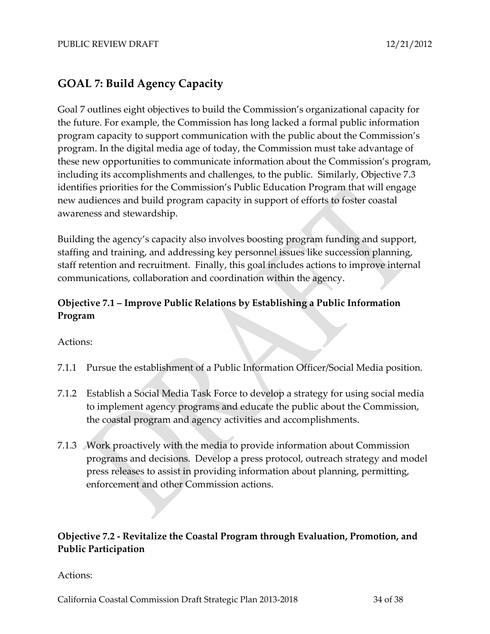### **GOAL 7: Build Agency Capacity**

Goal 7 outlines eight objectives to build the Commission's organizational capacity for the future. For example, the Commission has long lacked a formal public information program capacity to support communication with the public about the Commission's program. In the digital media age of today, the Commission must take advantage of these new opportunities to communicate information about the Commission's program, including its accomplishments and challenges, to the public. Similarly, Objective 7.3 identifies priorities for the Commission's Public Education Program that will engage new audiences and build program capacity in support of efforts to foster coastal awareness and stewardship.

Building the agency's capacity also involves boosting program funding and support, staffing and training, and addressing key personnel issues like succession planning, staff retention and recruitment. Finally, this goal includes actions to improve internal communications, collaboration and coordination within the agency.

### **Objective 7.1 – Improve Public Relations by Establishing a Public Information Program**

Actions:

- 7.1.1 Pursue the establishment of a Public Information Officer/Social Media position.
- 7.1.2 Establish a Social Media Task Force to develop a strategy for using social media to implement agency programs and educate the public about the Commission, the coastal program and agency activities and accomplishments.
- 7.1.3 Work proactively with the media to provide information about Commission programs and decisions. Develop a press protocol, outreach strategy and model press releases to assist in providing information about planning, permitting, enforcement and other Commission actions.

### **Objective 7.2 ‐ Revitalize the Coastal Program through Evaluation, Promotion, and Public Participation**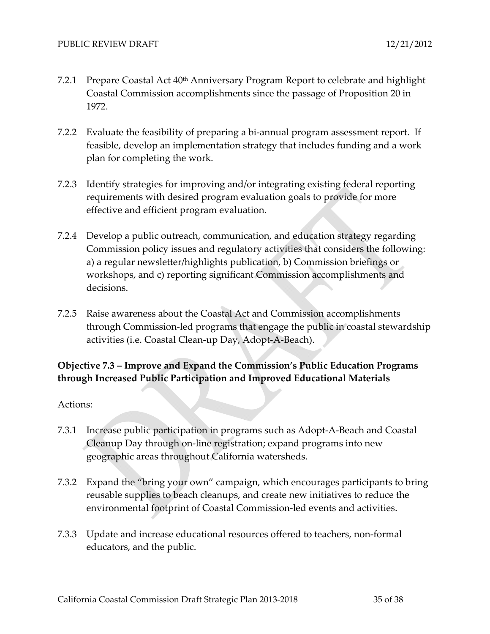- 7.2.1 Prepare Coastal Act 40<sup>th</sup> Anniversary Program Report to celebrate and highlight Coastal Commission accomplishments since the passage of Proposition 20 in 1972.
- 7.2.2 Evaluate the feasibility of preparing a bi‐annual program assessment report. If feasible, develop an implementation strategy that includes funding and a work plan for completing the work.
- 7.2.3 Identify strategies for improving and/or integrating existing federal reporting requirements with desired program evaluation goals to provide for more effective and efficient program evaluation.
- 7.2.4 Develop a public outreach, communication, and education strategy regarding Commission policy issues and regulatory activities that considers the following: a) a regular newsletter/highlights publication, b) Commission briefings or workshops, and c) reporting significant Commission accomplishments and decisions.
- 7.2.5 Raise awareness about the Coastal Act and Commission accomplishments through Commission‐led programs that engage the public in coastal stewardship activities (i.e. Coastal Clean‐up Day, Adopt‐A‐Beach).

### **Objective 7.3 – Improve and Expand the Commission's Public Education Programs through Increased Public Participation and Improved Educational Materials**

- 7.3.1 Increase public participation in programs such as Adopt‐A‐Beach and Coastal Cleanup Day through on‐line registration; expand programs into new geographic areas throughout California watersheds.
- 7.3.2 Expand the "bring your own" campaign, which encourages participants to bring reusable supplies to beach cleanups, and create new initiatives to reduce the environmental footprint of Coastal Commission‐led events and activities.
- 7.3.3 Update and increase educational resources offered to teachers, non‐formal educators, and the public.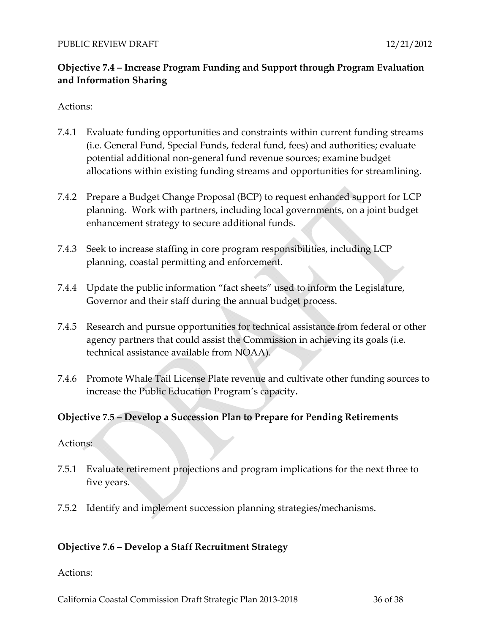### **Objective 7.4 – Increase Program Funding and Support through Program Evaluation and Information Sharing**

#### Actions:

- 7.4.1 Evaluate funding opportunities and constraints within current funding streams (i.e. General Fund, Special Funds, federal fund, fees) and authorities; evaluate potential additional non‐general fund revenue sources; examine budget allocations within existing funding streams and opportunities for streamlining.
- 7.4.2 Prepare a Budget Change Proposal (BCP) to request enhanced support for LCP planning. Work with partners, including local governments, on a joint budget enhancement strategy to secure additional funds.
- 7.4.3 Seek to increase staffing in core program responsibilities, including LCP planning, coastal permitting and enforcement.
- 7.4.4 Update the public information "fact sheets" used to inform the Legislature, Governor and their staff during the annual budget process.
- 7.4.5 Research and pursue opportunities for technical assistance from federal or other agency partners that could assist the Commission in achieving its goals (i.e. technical assistance available from NOAA).
- 7.4.6 Promote Whale Tail License Plate revenue and cultivate other funding sources to increase the Public Education Program's capacity**.**

#### **Objective 7.5 – Develop a Succession Plan to Prepare for Pending Retirements**

#### Actions:

- 7.5.1 Evaluate retirement projections and program implications for the next three to five years.
- 7.5.2 Identify and implement succession planning strategies/mechanisms.

#### **Objective 7.6 – Develop a Staff Recruitment Strategy**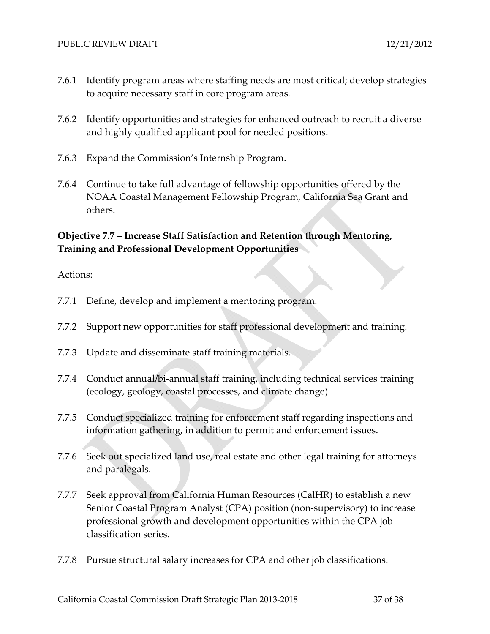- 7.6.1 Identify program areas where staffing needs are most critical; develop strategies to acquire necessary staff in core program areas.
- 7.6.2 Identify opportunities and strategies for enhanced outreach to recruit a diverse and highly qualified applicant pool for needed positions.
- 7.6.3 Expand the Commission's Internship Program.
- 7.6.4 Continue to take full advantage of fellowship opportunities offered by the NOAA Coastal Management Fellowship Program, California Sea Grant and others.

### **Objective 7.7 – Increase Staff Satisfaction and Retention through Mentoring, Training and Professional Development Opportunities**

- 7.7.1 Define, develop and implement a mentoring program.
- 7.7.2 Support new opportunities for staff professional development and training.
- 7.7.3 Update and disseminate staff training materials.
- 7.7.4 Conduct annual/bi-annual staff training, including technical services training (ecology, geology, coastal processes, and climate change).
- 7.7.5 Conduct specialized training for enforcement staff regarding inspections and information gathering, in addition to permit and enforcement issues.
- 7.7.6 Seek out specialized land use, real estate and other legal training for attorneys and paralegals.
- 7.7.7 Seek approval from California Human Resources (CalHR) to establish a new Senior Coastal Program Analyst (CPA) position (non‐supervisory) to increase professional growth and development opportunities within the CPA job classification series.
- 7.7.8 Pursue structural salary increases for CPA and other job classifications.